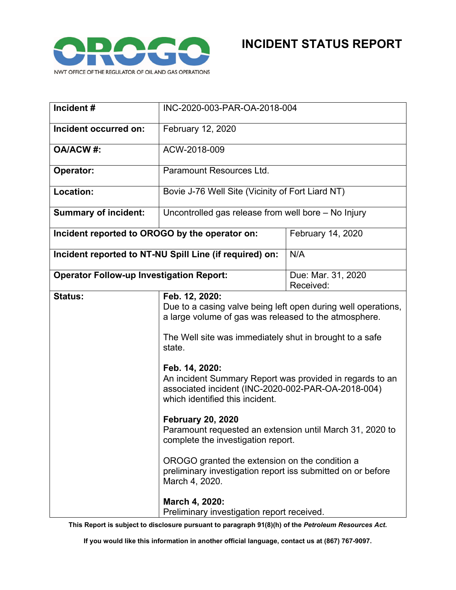

| Incident#                                               | INC-2020-003-PAR-OA-2018-004                                                                                                                                                                                                                                                                                                                                                                                                                                                                                                                                                                                                                          |                                 |
|---------------------------------------------------------|-------------------------------------------------------------------------------------------------------------------------------------------------------------------------------------------------------------------------------------------------------------------------------------------------------------------------------------------------------------------------------------------------------------------------------------------------------------------------------------------------------------------------------------------------------------------------------------------------------------------------------------------------------|---------------------------------|
| Incident occurred on:                                   | February 12, 2020                                                                                                                                                                                                                                                                                                                                                                                                                                                                                                                                                                                                                                     |                                 |
| <b>OA/ACW#:</b>                                         | ACW-2018-009                                                                                                                                                                                                                                                                                                                                                                                                                                                                                                                                                                                                                                          |                                 |
| Operator:                                               | Paramount Resources Ltd.                                                                                                                                                                                                                                                                                                                                                                                                                                                                                                                                                                                                                              |                                 |
| Location:                                               | Bovie J-76 Well Site (Vicinity of Fort Liard NT)                                                                                                                                                                                                                                                                                                                                                                                                                                                                                                                                                                                                      |                                 |
| <b>Summary of incident:</b>                             | Uncontrolled gas release from well bore - No Injury                                                                                                                                                                                                                                                                                                                                                                                                                                                                                                                                                                                                   |                                 |
| Incident reported to OROGO by the operator on:          |                                                                                                                                                                                                                                                                                                                                                                                                                                                                                                                                                                                                                                                       | February 14, 2020               |
| Incident reported to NT-NU Spill Line (if required) on: |                                                                                                                                                                                                                                                                                                                                                                                                                                                                                                                                                                                                                                                       | N/A                             |
| <b>Operator Follow-up Investigation Report:</b>         |                                                                                                                                                                                                                                                                                                                                                                                                                                                                                                                                                                                                                                                       | Due: Mar. 31, 2020<br>Received: |
| <b>Status:</b>                                          | Feb. 12, 2020:<br>Due to a casing valve being left open during well operations,<br>a large volume of gas was released to the atmosphere.<br>The Well site was immediately shut in brought to a safe<br>state.<br>Feb. 14, 2020:<br>An incident Summary Report was provided in regards to an<br>associated incident (INC-2020-002-PAR-OA-2018-004)<br>which identified this incident.<br><b>February 20, 2020</b><br>Paramount requested an extension until March 31, 2020 to<br>complete the investigation report.<br>OROGO granted the extension on the condition a<br>preliminary investigation report iss submitted on or before<br>March 4, 2020. |                                 |
|                                                         | March 4, 2020:<br>Preliminary investigation report received.                                                                                                                                                                                                                                                                                                                                                                                                                                                                                                                                                                                          |                                 |

**This Report is subject to disclosure pursuant to paragraph 91(8)(h) of the** *Petroleum Resources Act***.**

**If you would like this information in another official language, contact us at (867) 767-9097.**